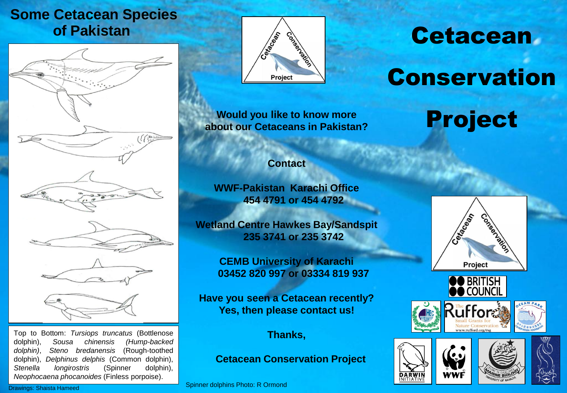### **of Pakistan Some Cetacean Species**



Top to Bottom: *Tursiops truncatus* (Bottlenose dolphin), *Sousa chinensis (Hump-backed dolphin)*, *Steno bredanensis* (Rough-toothed dolphin), *Delphinus delphis* (Common dolphin), *Stenella longirostris* (Spinner dolphin), *Neophocaena phocanoides* (Finless porpoise).



**Would you like to know more Project about our Cetaceans in Pakistan?**

# **Cetacean**

# Conservation

#### **Contact**

**WWF-Pakistan Karachi Office 454 4791 or 454 4792**

**Wetland Centre Hawkes Bay/Sandspit 235 3741 or 235 3742**

> **CEMB University of Karachi 03452 820 997 or 03334 819 937**

**Have you seen a Cetacean recently? Yes, then please contact us!**

#### **Thanks,**

**Cetacean Conservation Project**

Spinner dolphins Photo: R Ormond











Drawings: Shaista Hameed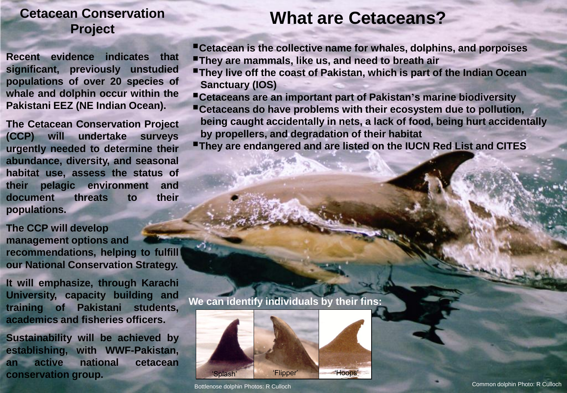#### **Cetacean Conservation Project**

**Recent evidence indicates that significant, previously unstudied populations of over 20 species of whale and dolphin occur within the Pakistani EEZ (NE Indian Ocean).**

**The Cetacean Conservation Project (CCP) will undertake surveys urgently needed to determine their abundance, diversity, and seasonal habitat use, assess the status of their pelagic environment and document threats to their populations.**

**The CCP will develop management options and recommendations, helping to fulfill our National Conservation Strategy.**

**It will emphasize, through Karachi University, capacity building and training of Pakistani students, academics and fisheries officers.**

**Sustainability will be achieved by establishing, with WWF-Pakistan, an active national cetacean conservation group.**

## **What are Cetaceans?**

**Cetacean is the collective name for whales, dolphins, and porpoises**

- **They are mammals, like us, and need to breath air**
- **They live off the coast of Pakistan, which is part of the Indian Ocean Sanctuary (IOS)**
- **Cetaceans are an important part of Pakistan'<sup>s</sup> marine biodiversity**
- **Cetaceans do have problems with their ecosystem due to pollution, being caught accidentally in nets, a lack of food, being hurt accidentally by propellers, and degradation of their habitat**
- **They are endangered and are listed on the IUCN Red List and CITES**

**We can identify individuals by their fins:**

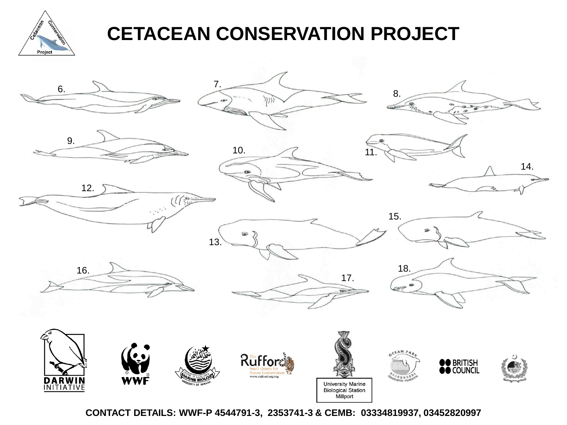

# **CETACEAN CONSERVATION PROJECT**



**CONTACT DETAILS: WWF-P 4544791-3, 2353741-3 & CEMB: 03334819937, 03452820997**